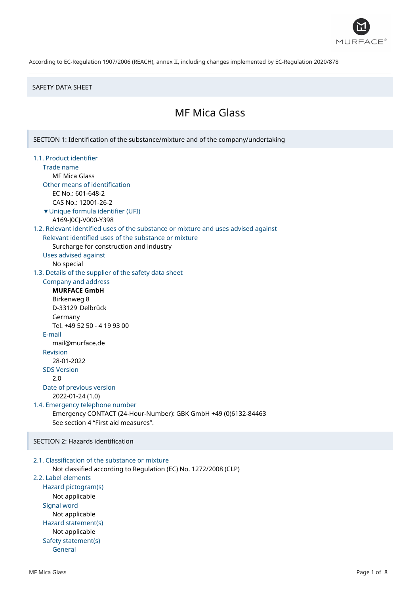

#### SAFETY DATA SHEET

# MF Mica Glass

SECTION 1: Identification of the substance/mixture and of the company/undertaking

1.1. Product identifier Trade name MF Mica Glass Other means of identification EC No.: 601-648-2 CAS No.: 12001-26-2 ▼Unique formula identifier (UFI) A169-J0CJ-V000-Y398 1.2. Relevant identified uses of the substance or mixture and uses advised against Relevant identified uses of the substance or mixture Surcharge for construction and industry Uses advised against No special 1.3. Details of the supplier of the safety data sheet Company and address **MURFACE GmbH** Birkenweg 8 D-33129 Delbrück Germany Tel. +49 52 50 - 4 19 93 00 E-mail mail@murface.de Revision 28-01-2022 SDS Version 2.0 Date of previous version 2022-01-24 (1.0) 1.4. Emergency telephone number Emergency CONTACT (24-Hour-Number): GBK GmbH +49 (0)6132-84463 See section 4 "First aid measures". SECTION 2: Hazards identification

# 2.1. Classification of the substance or mixture Not classified according to Regulation (EC) No. 1272/2008 (CLP) 2.2. Label elements Hazard pictogram(s) Not applicable Signal word Not applicable Hazard statement(s) Not applicable Safety statement(s) General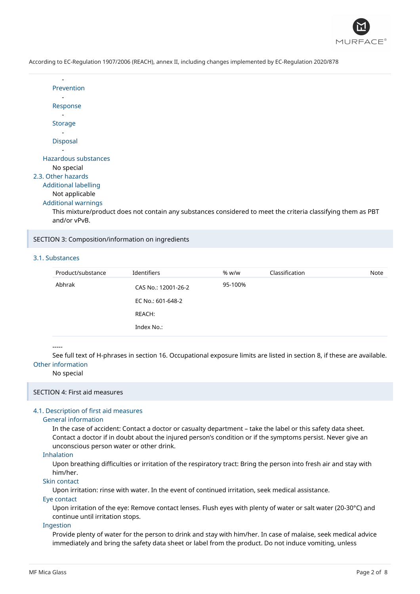

| Prevention           |
|----------------------|
|                      |
| Response             |
|                      |
| Storage              |
|                      |
| <b>Disposal</b>      |
|                      |
| Hazardous substances |
| No special           |

#### 2.3. Other hazards

# Additional labelling

# Not applicable

# Additional warnings

This mixture/product does not contain any substances considered to meet the criteria classifying them as PBT and/or vPvB.

#### SECTION 3: Composition/information on ingredients

# 3.1. Substances

| Product/substance | Identifiers         | % w/w   | Classification | Note |
|-------------------|---------------------|---------|----------------|------|
| Abhrak            | CAS No.: 12001-26-2 | 95-100% |                |      |
|                   | EC No.: 601-648-2   |         |                |      |
|                   | REACH:              |         |                |      |
|                   | Index No.:          |         |                |      |

#### -----

See full text of H-phrases in section 16. Occupational exposure limits are listed in section 8, if these are available. Other information

#### No special

#### SECTION 4: First aid measures

#### 4.1. Description of first aid measures

#### General information

In the case of accident: Contact a doctor or casualty department – take the label or this safety data sheet. Contact a doctor if in doubt about the injured person's condition or if the symptoms persist. Never give an unconscious person water or other drink.

#### Inhalation

Upon breathing difficulties or irritation of the respiratory tract: Bring the person into fresh air and stay with him/her.

## Skin contact

Upon irritation: rinse with water. In the event of continued irritation, seek medical assistance.

#### Eye contact

Upon irritation of the eye: Remove contact lenses. Flush eyes with plenty of water or salt water (20-30°C) and continue until irritation stops.

## Ingestion

Provide plenty of water for the person to drink and stay with him/her. In case of malaise, seek medical advice immediately and bring the safety data sheet or label from the product. Do not induce vomiting, unless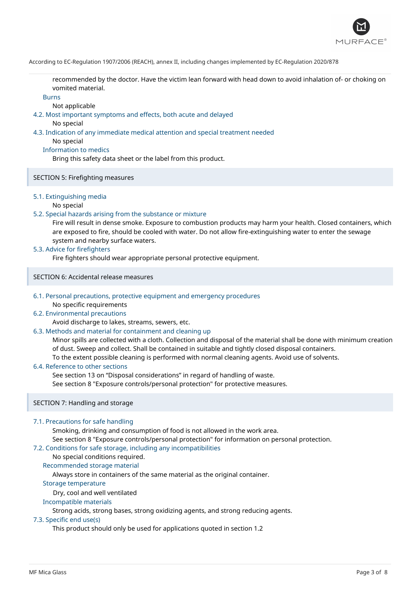

recommended by the doctor. Have the victim lean forward with head down to avoid inhalation of- or choking on vomited material.

#### Burns

Not applicable

4.2. Most important symptoms and effects, both acute and delayed

No special

4.3. Indication of any immediate medical attention and special treatment needed

No special

# Information to medics

Bring this safety data sheet or the label from this product.

# SECTION 5: Firefighting measures

# 5.1. Extinguishing media

#### No special

# 5.2. Special hazards arising from the substance or mixture

Fire will result in dense smoke. Exposure to combustion products may harm your health. Closed containers, which are exposed to fire, should be cooled with water. Do not allow fire-extinguishing water to enter the sewage system and nearby surface waters.

## 5.3. Advice for firefighters

Fire fighters should wear appropriate personal protective equipment.

SECTION 6: Accidental release measures

#### 6.1. Personal precautions, protective equipment and emergency procedures No specific requirements

## 6.2. Environmental precautions

Avoid discharge to lakes, streams, sewers, etc.

## 6.3. Methods and material for containment and cleaning up

Minor spills are collected with a cloth. Collection and disposal of the material shall be done with minimum creation of dust. Sweep and collect. Shall be contained in suitable and tightly closed disposal containers. To the extent possible cleaning is performed with normal cleaning agents. Avoid use of solvents.

## 6.4. Reference to other sections

See section 13 on "Disposal considerations" in regard of handling of waste. See section 8 "Exposure controls/personal protection" for protective measures.

## SECTION 7: Handling and storage

## 7.1. Precautions for safe handling

Smoking, drinking and consumption of food is not allowed in the work area. See section 8 "Exposure controls/personal protection" for information on personal protection.

# 7.2. Conditions for safe storage, including any incompatibilities

# No special conditions required.

Recommended storage material

Always store in containers of the same material as the original container.

#### Storage temperature

Dry, cool and well ventilated

## Incompatible materials

Strong acids, strong bases, strong oxidizing agents, and strong reducing agents.

#### 7.3. Specific end use(s)

This product should only be used for applications quoted in section 1.2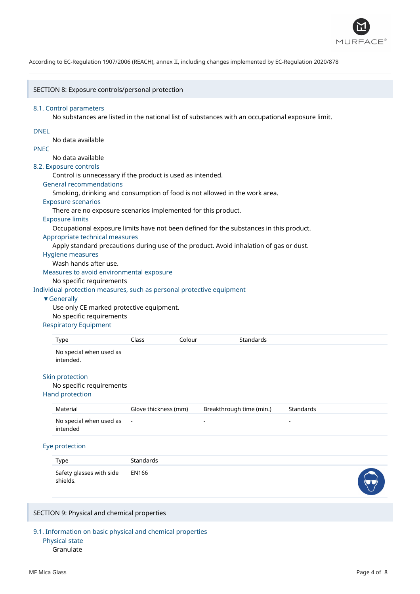

#### SECTION 8: Exposure controls/personal protection

#### 8.1. Control parameters

No substances are listed in the national list of substances with an occupational exposure limit.

## DNEL

No data available

## PNEC

# No data available

8.2. Exposure controls

Control is unnecessary if the product is used as intended.

#### General recommendations

Smoking, drinking and consumption of food is not allowed in the work area.

#### Exposure scenarios

There are no exposure scenarios implemented for this product.

# Exposure limits

Occupational exposure limits have not been defined for the substances in this product.

#### Appropriate technical measures

Apply standard precautions during use of the product. Avoid inhalation of gas or dust.

## Hygiene measures

Wash hands after use.

Measures to avoid environmental exposure

## No specific requirements

Individual protection measures, such as personal protective equipment

#### ▼Generally

Use only CE marked protective equipment. No specific requirements

#### Respiratory Equipment

| No special when used as |  | Standards | Colour | Class | Type      |
|-------------------------|--|-----------|--------|-------|-----------|
|                         |  |           |        |       | intended. |

# Skin protection

#### No specific requirements

Hand protection

| Material                              | Glove thickness (mm) | Breakthrough time (min.) | Standards |
|---------------------------------------|----------------------|--------------------------|-----------|
| No special when used as -<br>intended |                      | -                        |           |

#### Eye protection

| Type                                       | Standards |                |
|--------------------------------------------|-----------|----------------|
| Safety glasses with side EN166<br>shields. |           | $\bigcap$<br>v |

## SECTION 9: Physical and chemical properties

9.1. Information on basic physical and chemical properties Physical state

#### Granulate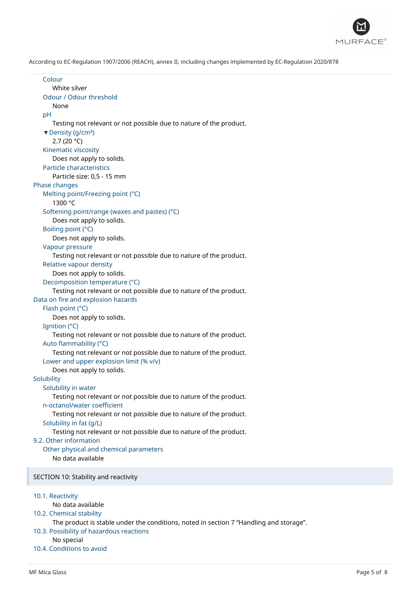

Colour White silver Odour / Odour threshold None pH Testing not relevant or not possible due to nature of the product. ▼ Density (q/cm<sup>3</sup>) 2.7 (20 °C) Kinematic viscosity Does not apply to solids. Particle characteristics Particle size: 0,5 - 15 mm Phase changes Melting point/Freezing point (°C) 1300 °C Softening point/range (waxes and pastes) (°C) Does not apply to solids. Boiling point (°C) Does not apply to solids. Vapour pressure Testing not relevant or not possible due to nature of the product. Relative vapour density Does not apply to solids. Decomposition temperature (°C) Testing not relevant or not possible due to nature of the product. Data on fire and explosion hazards Flash point (°C) Does not apply to solids. Ignition (°C) Testing not relevant or not possible due to nature of the product. Auto flammability (°C) Testing not relevant or not possible due to nature of the product. Lower and upper explosion limit (% v/v) Does not apply to solids. **Solubility** Solubility in water Testing not relevant or not possible due to nature of the product. n-octanol/water coefficient Testing not relevant or not possible due to nature of the product. Solubility in fat (g/L) Testing not relevant or not possible due to nature of the product. 9.2. Other information Other physical and chemical parameters No data available SECTION 10: Stability and reactivity 10.1. Reactivity No data available 10.2. Chemical stability The product is stable under the conditions, noted in section 7 "Handling and storage". 10.3. Possibility of hazardous reactions No special 10.4. Conditions to avoid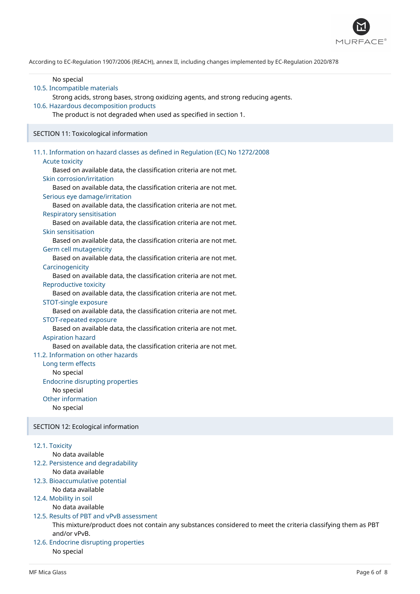

| No special<br>10.5. Incompatible materials<br>Strong acids, strong bases, strong oxidizing agents, and strong reducing agents.<br>10.6. Hazardous decomposition products<br>The product is not degraded when used as specified in section 1.                                                                                                                                                                                                                                                                                                                                                                                                                                                                                                                                                                                                                                                                                                                                                                                                                                                                                                                                                                                                                                                                                                   |
|------------------------------------------------------------------------------------------------------------------------------------------------------------------------------------------------------------------------------------------------------------------------------------------------------------------------------------------------------------------------------------------------------------------------------------------------------------------------------------------------------------------------------------------------------------------------------------------------------------------------------------------------------------------------------------------------------------------------------------------------------------------------------------------------------------------------------------------------------------------------------------------------------------------------------------------------------------------------------------------------------------------------------------------------------------------------------------------------------------------------------------------------------------------------------------------------------------------------------------------------------------------------------------------------------------------------------------------------|
| SECTION 11: Toxicological information                                                                                                                                                                                                                                                                                                                                                                                                                                                                                                                                                                                                                                                                                                                                                                                                                                                                                                                                                                                                                                                                                                                                                                                                                                                                                                          |
| 11.1. Information on hazard classes as defined in Regulation (EC) No 1272/2008<br><b>Acute toxicity</b><br>Based on available data, the classification criteria are not met.<br>Skin corrosion/irritation<br>Based on available data, the classification criteria are not met.<br>Serious eye damage/irritation<br>Based on available data, the classification criteria are not met.<br><b>Respiratory sensitisation</b><br>Based on available data, the classification criteria are not met.<br>Skin sensitisation<br>Based on available data, the classification criteria are not met.<br>Germ cell mutagenicity<br>Based on available data, the classification criteria are not met.<br>Carcinogenicity<br>Based on available data, the classification criteria are not met.<br>Reproductive toxicity<br>Based on available data, the classification criteria are not met.<br>STOT-single exposure<br>Based on available data, the classification criteria are not met.<br>STOT-repeated exposure<br>Based on available data, the classification criteria are not met.<br><b>Aspiration hazard</b><br>Based on available data, the classification criteria are not met.<br>11.2. Information on other hazards<br>Long term effects<br>No special<br><b>Endocrine disrupting properties</b><br>No special<br>Other information<br>No special |
| SECTION 12: Ecological information                                                                                                                                                                                                                                                                                                                                                                                                                                                                                                                                                                                                                                                                                                                                                                                                                                                                                                                                                                                                                                                                                                                                                                                                                                                                                                             |
| 12.1. Toxicity<br>No data available<br>12.2. Persistence and degradability<br>No data available<br>12.3. Bioaccumulative potential<br>No data available<br>12.4. Mobility in soil<br>No data available<br>12.5. Results of PBT and vPvB assessment<br>This mixture/product does not contain any substances considered to meet the criteria classifying them as PBT<br>and/or vPvB.<br>12.6. Endocrine disrupting properties<br>No special                                                                                                                                                                                                                                                                                                                                                                                                                                                                                                                                                                                                                                                                                                                                                                                                                                                                                                      |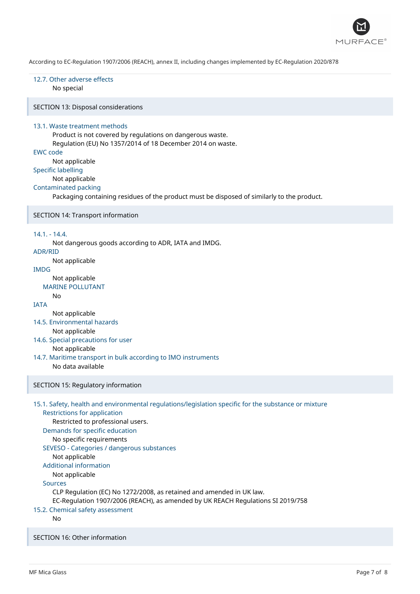

# 12.7. Other adverse effects

No special

SECTION 13: Disposal considerations

### 13.1. Waste treatment methods

Product is not covered by regulations on dangerous waste. Regulation (EU) No 1357/2014 of 18 December 2014 on waste.

# EWC code

Not applicable

Specific labelling

# Not applicable

#### Contaminated packing

Packaging containing residues of the product must be disposed of similarly to the product.

#### SECTION 14: Transport information

#### 14.1. - 14.4.

Not dangerous goods according to ADR, IATA and IMDG.

# ADR/RID

Not applicable

# IMDG

Not applicable

# MARINE POLLUTANT

# **IATA**

No

Not applicable

- 14.5. Environmental hazards Not applicable
- 14.6. Special precautions for user Not applicable
- 14.7. Maritime transport in bulk according to IMO instruments No data available

## SECTION 15: Regulatory information

# 15.1. Safety, health and environmental regulations/legislation specific for the substance or mixture Restrictions for application Restricted to professional users. Demands for specific education No specific requirements SEVESO - Categories / dangerous substances Not applicable Additional information Not applicable Sources CLP Regulation (EC) No 1272/2008, as retained and amended in UK law. EC-Regulation 1907/2006 (REACH), as amended by UK REACH Regulations SI 2019/758

# 15.2. Chemical safety assessment

No

SECTION 16: Other information